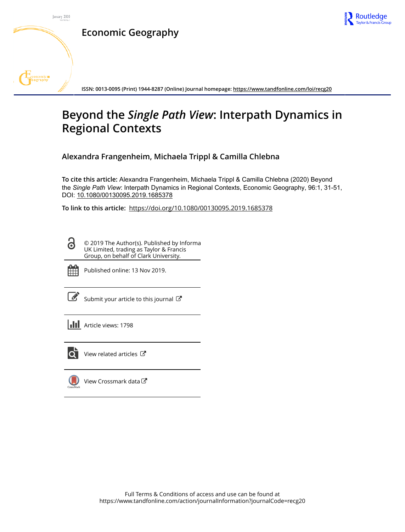

**Economic Geography**



**ISSN: 0013-0095 (Print) 1944-8287 (Online) Journal homepage:<https://www.tandfonline.com/loi/recg20>**

# **Beyond the** *Single Path View***: Interpath Dynamics in Regional Contexts**

**Alexandra Frangenheim, Michaela Trippl & Camilla Chlebna**

**To cite this article:** Alexandra Frangenheim, Michaela Trippl & Camilla Chlebna (2020) Beyond the *Single Path View*: Interpath Dynamics in Regional Contexts, Economic Geography, 96:1, 31-51, DOI: [10.1080/00130095.2019.1685378](https://www.tandfonline.com/action/showCitFormats?doi=10.1080/00130095.2019.1685378)

**To link to this article:** <https://doi.org/10.1080/00130095.2019.1685378>

© 2019 The Author(s). Published by Informa UK Limited, trading as Taylor & Francis Group, on behalf of Clark University.



ര

Published online: 13 Nov 2019.

[Submit your article to this journal](https://www.tandfonline.com/action/authorSubmission?journalCode=recg20&show=instructions)  $\mathbb{Z}$ 

**Article views: 1798** 



 $\overline{Q}$  [View related articles](https://www.tandfonline.com/doi/mlt/10.1080/00130095.2019.1685378)  $\overline{C}$ 

[View Crossmark data](http://crossmark.crossref.org/dialog/?doi=10.1080/00130095.2019.1685378&domain=pdf&date_stamp=2019-11-13) $\mathbb{Z}$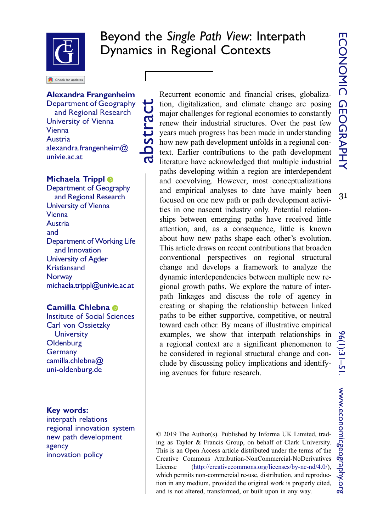31



# Beyond the Single Path View: Interpath Dynamics in Regional Contexts

Check for updates

### Alexandra Frangenheim

Department of Geography and Regional Research University of Vienna **Vienna** Austria alexandra.frangenheim@ univie.ac.at

abstract

### Michae[l](http://orcid.org/0000-0001-9779-4836)a Trippl <sup>®</sup>

Department of Geography and Regional Research University of Vienna Vienna Austria and Department of Working Life and Innovation University of Agder Kristiansand **Norway** michaela.trippl@univie.ac.at

### Camilla Chlebna

Institute of Social Sciences Carl von Ossietzky **University Oldenburg** Germany camilla.chlebna@ uni-oldenburg.de

### Key words:

interpath relations regional innovation system new path development agency innovation policy

Recurrent economic and financial crises, globalization, digitalization, and climate change are posing major challenges for regional economies to constantly renew their industrial structures. Over the past few years much progress has been made in understanding how new path development unfolds in a regional context. Earlier contributions to the path development literature have acknowledged that multiple industrial paths developing within a region are interdependent and coevolving. However, most conceptualizations and empirical analyses to date have mainly been focused on one new path or path development activities in one nascent industry only. Potential relationships between emerging paths have received little attention, and, as a consequence, little is known about how new paths shape each other's evolution. This article draws on recent contributions that broaden conventional perspectives on regional structural change and develops a framework to analyze the dynamic interdependencies between multiple new regional growth paths. We explore the nature of interpath linkages and discuss the role of agency in creating or shaping the relationship between linked paths to be either supportive, competitive, or neutral toward each other. By means of illustrative empirical examples, we show that interpath relationships in a regional context are a significant phenomenon to be considered in regional structural change and conclude by discussing policy implications and identifying avenues for future research.

© 2019 The Author(s). Published by Informa UK Limited, trading as Taylor & Francis Group, on behalf of Clark University. This is an Open Access article distributed under the terms of the Creative Commons Attribution-NonCommercial-NoDerivatives License (http://creativecommons.org/licenses/by-nc-nd/4.0/), which permits non-commercial re-use, distribution, and reproduction in any medium, provided the original work is properly cited, and is not altered, transformed, or built upon in any way.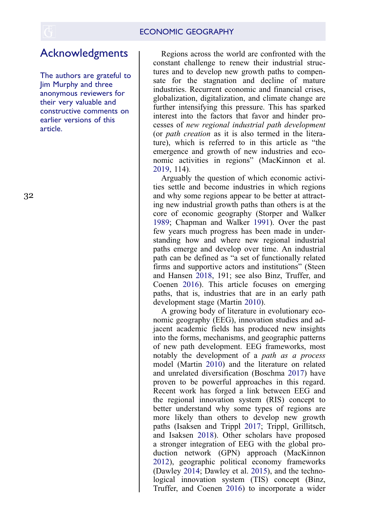# Acknowledgments

The authors are grateful to Jim Murphy and three anonymous reviewers for their very valuable and constructive comments on earlier versions of this article.

Regions across the world are confronted with the constant challenge to renew their industrial structures and to develop new growth paths to compensate for the stagnation and decline of mature industries. Recurrent economic and financial crises, globalization, digitalization, and climate change are further intensifying this pressure. This has sparked interest into the factors that favor and hinder processes of new regional industrial path development (or path creation as it is also termed in the literature), which is referred to in this article as "the emergence and growth of new industries and economic activities in regions" (MacKinnon et al. [2019](#page-20-0), 114).

<span id="page-2-9"></span><span id="page-2-6"></span><span id="page-2-2"></span>Arguably the question of which economic activities settle and become industries in which regions and why some regions appear to be better at attracting new industrial growth paths than others is at the core of economic geography (Storper and Walker [1989](#page-21-0); Chapman and Walker [1991](#page-19-0)). Over the past few years much progress has been made in understanding how and where new regional industrial paths emerge and develop over time. An industrial path can be defined as "a set of functionally related firms and supportive actors and institutions" (Steen and Hansen [2018](#page-21-1), 191; see also Binz, Truffer, and Coenen [2016\)](#page-19-1). This article focuses on emerging paths, that is, industries that are in an early path development stage (Martin [2010](#page-20-1)).

<span id="page-2-10"></span><span id="page-2-8"></span><span id="page-2-7"></span><span id="page-2-5"></span><span id="page-2-4"></span><span id="page-2-3"></span><span id="page-2-1"></span><span id="page-2-0"></span>A growing body of literature in evolutionary economic geography (EEG), innovation studies and adjacent academic fields has produced new insights into the forms, mechanisms, and geographic patterns of new path development. EEG frameworks, most notably the development of a path as a process model (Martin [2010](#page-20-1)) and the literature on related and unrelated diversification (Boschma [2017](#page-19-2)) have proven to be powerful approaches in this regard. Recent work has forged a link between EEG and the regional innovation system (RIS) concept to better understand why some types of regions are more likely than others to develop new growth paths (Isaksen and Trippl [2017](#page-20-2); Trippl, Grillitsch, and Isaksen [2018\)](#page-21-2). Other scholars have proposed a stronger integration of EEG with the global production network (GPN) approach (MacKinnon [2012](#page-20-3)), geographic political economy frameworks (Dawley [2014;](#page-19-3) Dawley et al. [2015](#page-19-4)), and the technological innovation system (TIS) concept (Binz, Truffer, and Coenen [2016](#page-19-1)) to incorporate a wider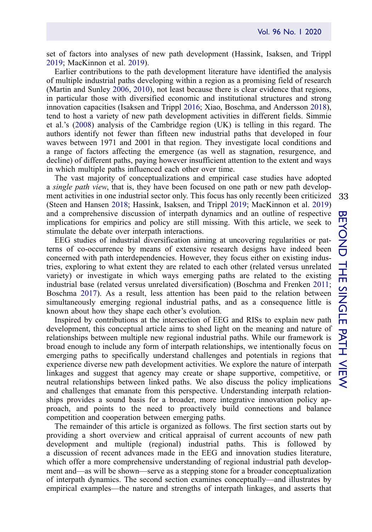set of factors into analyses of new path development (Hassink, Isaksen, and Trippl [2019;](#page-20-4) MacKinnon et al. [2019\)](#page-20-0).

<span id="page-3-4"></span><span id="page-3-3"></span><span id="page-3-2"></span>Earlier contributions to the path development literature have identified the analysis of multiple industrial paths developing within a region as a promising field of research (Martin and Sunley [2006,](#page-20-5) [2010\)](#page-20-6), not least because there is clear evidence that regions, in particular those with diversified economic and institutional structures and strong innovation capacities (Isaksen and Trippl [2016;](#page-20-7) Xiao, Boschma, and Andersson [2018\)](#page-21-3), tend to host a variety of new path development activities in different fields. Simmie et al.'s ([2008\)](#page-21-4) analysis of the Cambridge region (UK) is telling in this regard. The authors identify not fewer than fifteen new industrial paths that developed in four waves between 1971 and 2001 in that region. They investigate local conditions and a range of factors affecting the emergence (as well as stagnation, resurgence, and decline) of different paths, paying however insufficient attention to the extent and ways in which multiple paths influenced each other over time.

<span id="page-3-1"></span>The vast majority of conceptualizations and empirical case studies have adopted a single path view, that is, they have been focused on one path or new path development activities in one industrial sector only. This focus has only recently been criticized (Steen and Hansen [2018](#page-21-1); Hassink, Isaksen, and Trippl [2019](#page-20-4); MacKinnon et al. [2019](#page-20-0)) and a comprehensive discussion of interpath dynamics and an outline of respective implications for empirics and policy are still missing. With this article, we seek to stimulate the debate over interpath interactions.

EEG studies of industrial diversification aiming at uncovering regularities or patterns of co-occurrence by means of extensive research designs have indeed been concerned with path interdependencies. However, they focus either on existing industries, exploring to what extent they are related to each other (related versus unrelated variety) or investigate in which ways emerging paths are related to the existing industrial base (related versus unrelated diversification) (Boschma and Frenken [2011;](#page-19-5) Boschma [2017](#page-19-2)). As a result, less attention has been paid to the relation between simultaneously emerging regional industrial paths, and as a consequence little is known about how they shape each other's evolution.

<span id="page-3-0"></span>Inspired by contributions at the intersection of EEG and RISs to explain new path development, this conceptual article aims to shed light on the meaning and nature of relationships between multiple new regional industrial paths. While our framework is broad enough to include any form of interpath relationships, we intentionally focus on emerging paths to specifically understand challenges and potentials in regions that experience diverse new path development activities. We explore the nature of interpath linkages and suggest that agency may create or shape supportive, competitive, or neutral relationships between linked paths. We also discuss the policy implications and challenges that emanate from this perspective. Understanding interpath relationships provides a sound basis for a broader, more integrative innovation policy approach, and points to the need to proactively build connections and balance competition and cooperation between emerging paths.

The remainder of this article is organized as follows. The first section starts out by providing a short overview and critical appraisal of current accounts of new path development and multiple (regional) industrial paths. This is followed by a discussion of recent advances made in the EEG and innovation studies literature, which offer a more comprehensive understanding of regional industrial path development and—as will be shown—serve as a stepping stone for a broader conceptualization of interpath dynamics. The second section examines conceptually—and illustrates by empirical examples—the nature and strengths of interpath linkages, and asserts that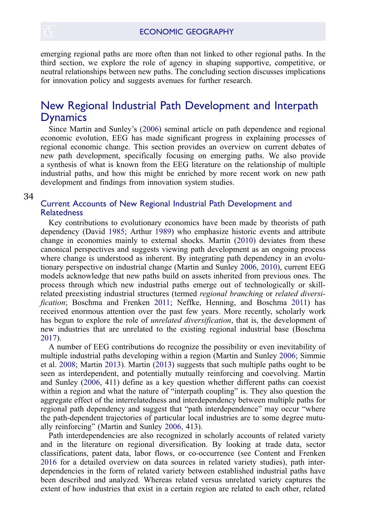emerging regional paths are more often than not linked to other regional paths. In the third section, we explore the role of agency in shaping supportive, competitive, or neutral relationships between new paths. The concluding section discusses implications for innovation policy and suggests avenues for further research.

## New Regional Industrial Path Development and Interpath Dynamics

Since Martin and Sunley's [\(2006](#page-20-5)) seminal article on path dependence and regional economic evolution, EEG has made significant progress in explaining processes of regional economic change. This section provides an overview on current debates of new path development, specifically focusing on emerging paths. We also provide a synthesis of what is known from the EEG literature on the relationship of multiple industrial paths, and how this might be enriched by more recent work on new path development and findings from innovation system studies.

#### 3[4](http://www.tandfonline.com)

### Current Accounts of New Regional Industrial Path Development and **Relatedness**

<span id="page-4-0"></span>Key contributions to evolutionary economics have been made by theorists of path dependency (David [1985;](#page-19-6) Arthur [1989](#page-18-0)) who emphasize historic events and attribute change in economies mainly to external shocks. Martin ([2010\)](#page-20-1) deviates from these canonical perspectives and suggests viewing path development as an ongoing process where change is understood as inherent. By integrating path dependency in an evolutionary perspective on industrial change (Martin and Sunley [2006,](#page-20-5) [2010\)](#page-20-6), current EEG models acknowledge that new paths build on assets inherited from previous ones. The process through which new industrial paths emerge out of technologically or skillrelated preexisting industrial structures (termed regional branching or related diversification; Boschma and Frenken [2011;](#page-19-5) Neffke, Henning, and Boschma [2011\)](#page-21-5) has received enormous attention over the past few years. More recently, scholarly work has begun to explore the role of *unrelated diversification*, that is, the development of new industries that are unrelated to the existing regional industrial base (Boschma [2017\)](#page-19-2).

<span id="page-4-3"></span><span id="page-4-2"></span>A number of EEG contributions do recognize the possibility or even inevitability of multiple industrial paths developing within a region (Martin and Sunley [2006;](#page-20-5) Simmie et al. [2008](#page-21-4); Martin [2013](#page-20-8)). Martin ([2013\)](#page-20-8) suggests that such multiple paths ought to be seen as interdependent, and potentially mutually reinforcing and coevolving. Martin and Sunley [\(2006](#page-20-5), 411) define as a key question whether different paths can coexist within a region and what the nature of "interpath coupling" is. They also question the aggregate effect of the interrelatedness and interdependency between multiple paths for regional path dependency and suggest that "path interdependence" may occur "where the path-dependent trajectories of particular local industries are to some degree mutually reinforcing" (Martin and Sunley [2006](#page-20-5), 413).

<span id="page-4-1"></span>Path interdependencies are also recognized in scholarly accounts of related variety and in the literature on regional diversification. By looking at trade data, sector classifications, patent data, labor flows, or co-occurrence (see Content and Frenken [2016](#page-19-7) for a detailed overview on data sources in related variety studies), path interdependencies in the form of related variety between established industrial paths have been described and analyzed. Whereas related versus unrelated variety captures the extent of how industries that exist in a certain region are related to each other, related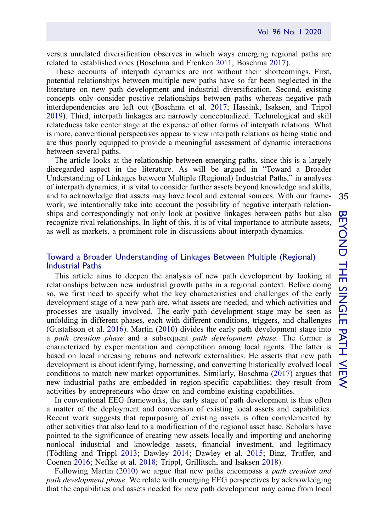versus unrelated diversification observes in which ways emerging regional paths are related to established ones (Boschma and Frenken [2011](#page-19-5); Boschma [2017](#page-19-2)).

<span id="page-5-0"></span>These accounts of interpath dynamics are not without their shortcomings. First, potential relationships between multiple new paths have so far been neglected in the literature on new path development and industrial diversification. Second, existing concepts only consider positive relationships between paths whereas negative path interdependencies are left out (Boschma et al. [2017](#page-19-8); Hassink, Isaksen, and Trippl [2019\)](#page-20-4). Third, interpath linkages are narrowly conceptualized. Technological and skill relatedness take center stage at the expense of other forms of interpath relations. What is more, conventional perspectives appear to view interpath relations as being static and are thus poorly equipped to provide a meaningful assessment of dynamic interactions between several paths.

The article looks at the relationship between emerging paths, since this is a largely disregarded aspect in the literature. As will be argued in "Toward a Broader Understanding of Linkages between Multiple (Regional) Industrial Paths," in analyses of interpath dynamics, it is vital to consider further assets beyond knowledge and skills, and to acknowledge that assets may have local and external sources. With our framework, we intentionally take into account the possibility of negative interpath relationships and correspondingly not only look at positive linkages between paths but also recognize rival relationships. In light of this, it is of vital importance to attribute assets, as well as markets, a prominent role in discussions about interpath dynamics.

### Toward a Broader Understanding of Linkages Between Multiple (Regional) Industrial Paths

<span id="page-5-1"></span>This article aims to deepen the analysis of new path development by looking at relationships between new industrial growth paths in a regional context. Before doing so, we first need to specify what the key characteristics and challenges of the early development stage of a new path are, what assets are needed, and which activities and processes are usually involved. The early path development stage may be seen as unfolding in different phases, each with different conditions, triggers, and challenges (Gustafsson et al. [2016](#page-19-9)). Martin ([2010\)](#page-20-1) divides the early path development stage into a path creation phase and a subsequent path development phase. The former is characterized by experimentation and competition among local agents. The latter is based on local increasing returns and network externalities. He asserts that new path development is about identifying, harnessing, and converting historically evolved local conditions to match new market opportunities. Similarly, Boschma ([2017\)](#page-19-2) argues that new industrial paths are embedded in region-specific capabilities; they result from activities by entrepreneurs who draw on and combine existing capabilities.

In conventional EEG frameworks, the early stage of path development is thus often a matter of the deployment and conversion of existing local assets and capabilities. Recent work suggests that repurposing of existing assets is often complemented by other activities that also lead to a modification of the regional asset base. Scholars have pointed to the significance of creating new assets locally and importing and anchoring nonlocal industrial and knowledge assets, financial investment, and legitimacy (Tödtling and Trippl [2013](#page-21-6); Dawley [2014](#page-19-3); Dawley et al. [2015](#page-19-4); Binz, Truffer, and Coenen [2016](#page-19-1); Neffke et al. [2018;](#page-21-7) Trippl, Grillitsch, and Isaksen [2018](#page-21-2)).

<span id="page-5-3"></span><span id="page-5-2"></span>Following Martin [\(2010](#page-20-1)) we argue that new paths encompass a *path creation and* path development phase. We relate with emerging EEG perspectives by acknowledging that the capabilities and assets needed for new path development may come from local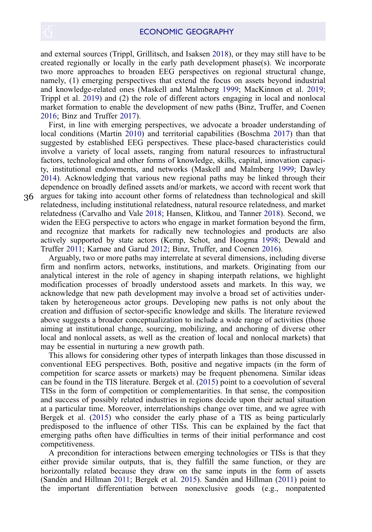and external sources (Trippl, Grillitsch, and Isaksen [2018\)](#page-21-2), or they may still have to be created regionally or locally in the early path development phase $(s)$ . We incorporate two more approaches to broaden EEG perspectives on regional structural change, namely, (1) emerging perspectives that extend the focus on assets beyond industrial and knowledge-related ones (Maskell and Malmberg [1999](#page-20-9); MacKinnon et al. [2019;](#page-20-0) Trippl et al. [2019](#page-21-8)) and (2) the role of different actors engaging in local and nonlocal market formation to enable the development of new paths (Binz, Truffer, and Coenen [2016;](#page-19-1) Binz and Truffer [2017\)](#page-19-10).

<span id="page-6-6"></span><span id="page-6-1"></span>First, in line with emerging perspectives, we advocate a broader understanding of local conditions (Martin [2010\)](#page-20-1) and territorial capabilities (Boschma [2017\)](#page-19-2) than that suggested by established EEG perspectives. These place-based characteristics could involve a variety of local assets, ranging from natural resources to infrastructural factors, technological and other forms of knowledge, skills, capital, innovation capacity, institutional endowments, and networks (Maskell and Malmberg [1999](#page-20-9); Dawley [2014\)](#page-19-3). Acknowledging that various new regional paths may be linked through their dependence on broadly defined assets and/or markets, we accord with recent work that argues for taking into account other forms of relatedness than technological and skill

3[6](http://www.tandfonline.com)

<span id="page-6-5"></span><span id="page-6-2"></span>relatedness, including institutional relatedness, natural resource relatedness, and market relatedness (Carvalho and Vale [2018](#page-19-11); Hansen, Klitkou, and Tanner [2018\)](#page-20-10). Second, we widen the EEG perspective to actors who engage in market formation beyond the firm, and recognize that markets for radically new technologies and products are also actively supported by state actors (Kemp, Schot, and Hoogma [1998;](#page-20-11) Dewald and Truffer [2011;](#page-19-12) Karnøe and Garud [2012;](#page-20-12) Binz, Truffer, and Coenen [2016\)](#page-19-1).

<span id="page-6-4"></span><span id="page-6-3"></span>Arguably, two or more paths may interrelate at several dimensions, including diverse firm and nonfirm actors, networks, institutions, and markets. Originating from our analytical interest in the role of agency in shaping interpath relations, we highlight modification processes of broadly understood assets and markets. In this way, we acknowledge that new path development may involve a broad set of activities undertaken by heterogeneous actor groups. Developing new paths is not only about the creation and diffusion of sector-specific knowledge and skills. The literature reviewed above suggests a broader conceptualization to include a wide range of activities (those aiming at institutional change, sourcing, mobilizing, and anchoring of diverse other local and nonlocal assets, as well as the creation of local and nonlocal markets) that may be essential in nurturing a new growth path.

This allows for considering other types of interpath linkages than those discussed in conventional EEG perspectives. Both, positive and negative impacts (in the form of competition for scarce assets or markets) may be frequent phenomena. Similar ideas can be found in the TIS literature. Bergek et al. ([2015\)](#page-18-1) point to a coevolution of several TISs in the form of competition or complementarities. In that sense, the composition and success of possibly related industries in regions decide upon their actual situation at a particular time. Moreover, interrelationships change over time, and we agree with Bergek et al. ([2015](#page-18-1)) who consider the early phase of a TIS as being particularly predisposed to the influence of other TISs. This can be explained by the fact that emerging paths often have difficulties in terms of their initial performance and cost competitiveness.

<span id="page-6-0"></span>A precondition for interactions between emerging technologies or TISs is that they either provide similar outputs, that is, they fulfill the same function, or they are horizontally related because they draw on the same inputs in the form of assets (Sandén and Hillman [2011](#page-21-9); Bergek et al. [2015\)](#page-18-1). Sandén and Hillman ([2011](#page-21-9)) point to the important differentiation between nonexclusive goods (e.g., nonpatented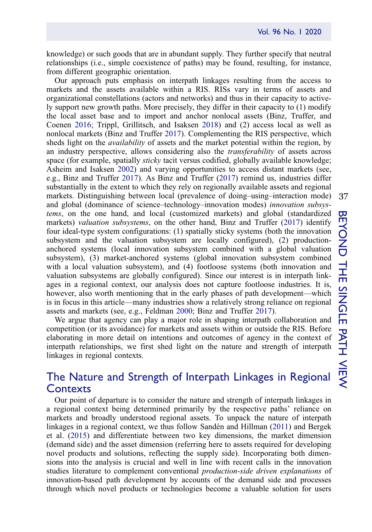knowledge) or such goods that are in abundant supply. They further specify that neutral relationships (i.e., simple coexistence of paths) may be found, resulting, for instance, from different geographic orientation.

<span id="page-7-0"></span>Our approach puts emphasis on interpath linkages resulting from the access to markets and the assets available within a RIS. RISs vary in terms of assets and organizational constellations (actors and networks) and thus in their capacity to actively support new growth paths. More precisely, they differ in their capacity to (1) modify the local asset base and to import and anchor nonlocal assets (Binz, Truffer, and Coenen [2016](#page-19-1); Trippl, Grillitsch, and Isaksen [2018\)](#page-21-2) and (2) access local as well as nonlocal markets (Binz and Truffer [2017](#page-19-10)). Complementing the RIS perspective, which sheds light on the *availability* of assets and the market potential within the region, by an industry perspective, allows considering also the transferability of assets across space (for example, spatially *sticky* tacit versus codified, globally available knowledge; Asheim and Isaksen [2002](#page-18-2)) and varying opportunities to access distant markets (see, e.g., Binz and Truffer [2017](#page-19-10)). As Binz and Truffer ([2017\)](#page-19-10) remind us, industries differ substantially in the extent to which they rely on regionally available assets and regional markets. Distinguishing between local (prevalence of doing–using–interaction mode) and global (dominance of science–technology–innovation modes) innovation subsystems, on the one hand, and local (customized markets) and global (standardized markets) *valuation subsystems*, on the other hand, Binz and Truffer [\(2017](#page-19-10)) identify four ideal-type system configurations: (1) spatially sticky systems (both the innovation subsystem and the valuation subsystem are locally configured), (2) productionanchored systems (local innovation subsystem combined with a global valuation subsystem), (3) market-anchored systems (global innovation subsystem combined with a local valuation subsystem), and (4) footloose systems (both innovation and valuation subsystems are globally configured). Since our interest is in interpath linkages in a regional context, our analysis does not capture footloose industries. It is, however, also worth mentioning that in the early phases of path development—which is in focus in this article—many industries show a relatively strong reliance on regional assets and markets (see, e.g., Feldman [2000;](#page-19-13) Binz and Truffer [2017](#page-19-10)).

<span id="page-7-1"></span>We argue that agency can play a major role in shaping interpath collaboration and competition (or its avoidance) for markets and assets within or outside the RIS. Before elaborating in more detail on intentions and outcomes of agency in the context of interpath relationships, we first shed light on the nature and strength of interpath linkages in regional contexts.

# The Nature and Strength of Interpath Linkages in Regional Contexts

Our point of departure is to consider the nature and strength of interpath linkages in a regional context being determined primarily by the respective paths' reliance on markets and broadly understood regional assets. To unpack the nature of interpath linkages in a regional context, we thus follow Sandén and Hillman [\(2011](#page-21-9)) and Bergek et al. ([2015\)](#page-18-1) and differentiate between two key dimensions, the market dimension (demand side) and the asset dimension (referring here to assets required for developing novel products and solutions, reflecting the supply side). Incorporating both dimensions into the analysis is crucial and well in line with recent calls in the innovation studies literature to complement conventional production-side driven explanations of innovation-based path development by accounts of the demand side and processes through which novel products or technologies become a valuable solution for users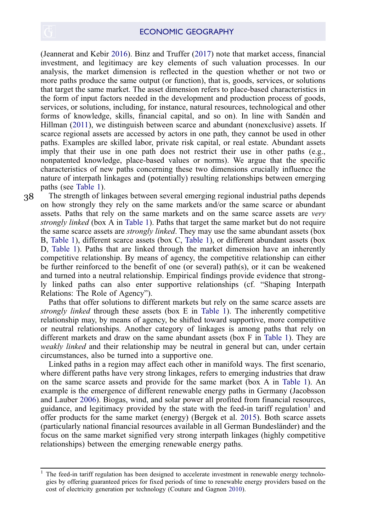<span id="page-8-3"></span>(Jeannerat and Kebir [2016\)](#page-20-13). Binz and Truffer ([2017\)](#page-19-10) note that market access, financial investment, and legitimacy are key elements of such valuation processes. In our analysis, the market dimension is reflected in the question whether or not two or more paths produce the same output (or function), that is, goods, services, or solutions that target the same market. The asset dimension refers to place-based characteristics in the form of input factors needed in the development and production process of goods, services, or solutions, including, for instance, natural resources, technological and other forms of knowledge, skills, financial capital, and so on). In line with Sandén and Hillman [\(2011\)](#page-21-9), we distinguish between scarce and abundant (nonexclusive) assets. If scarce regional assets are accessed by actors in one path, they cannot be used in other paths. Examples are skilled labor, private risk capital, or real estate. Abundant assets imply that their use in one path does not restrict their use in other paths (e.g., nonpatented knowledge, place-based values or norms). We argue that the specific characteristics of new paths concerning these two dimensions crucially influence the nature of interpath linkages and (potentially) resulting relationships between emerging paths (see [Table 1\)](#page-9-0).

3[8](http://www.tandfonline.com)

The strength of linkages between several emerging regional industrial paths depends on how strongly they rely on the same markets and/or the same scarce or abundant assets. Paths that rely on the same markets and on the same scarce assets are very strongly linked (box A in [Table 1](#page-9-0)). Paths that target the same market but do not require the same scarce assets are *strongly linked*. They may use the same abundant assets (box B, [Table 1\)](#page-9-0), different scarce assets (box C, [Table 1\)](#page-9-0), or different abundant assets (box D, [Table 1](#page-9-0)). Paths that are linked through the market dimension have an inherently competitive relationship. By means of agency, the competitive relationship can either be further reinforced to the benefit of one (or several) path(s), or it can be weakened and turned into a neutral relationship. Empirical findings provide evidence that strongly linked paths can also enter supportive relationships (cf. "Shaping Interpath Relations: The Role of Agency").

Paths that offer solutions to different markets but rely on the same scarce assets are strongly linked through these assets (box E in [Table 1](#page-9-0)). The inherently competitive relationship may, by means of agency, be shifted toward supportive, more competitive or neutral relationships. Another category of linkages is among paths that rely on different markets and draw on the same abundant assets (box F in [Table 1](#page-9-0)). They are weakly linked and their relationship may be neutral in general but can, under certain circumstances, also be turned into a supportive one.

<span id="page-8-2"></span>Linked paths in a region may affect each other in manifold ways. The first scenario, where different paths have very strong linkages, refers to emerging industries that draw on the same scarce assets and provide for the same market (box A in [Table 1\)](#page-9-0). An example is the emergence of different renewable energy paths in Germany (Jacobsson and Lauber [2006](#page-20-14)). Biogas, wind, and solar power all profited from financial resources, guidance, and legitimacy provided by the state with the feed-in tariff regulation<sup>[1](#page-8-0)</sup> and offer products for the same market (energy) (Bergek et al. [2015\)](#page-18-1). Both scarce assets (particularly national financial resources available in all German Bundesländer) and the focus on the same market signified very strong interpath linkages (highly competitive relationships) between the emerging renewable energy paths.

<span id="page-8-1"></span><span id="page-8-0"></span><sup>1</sup> The feed-in tariff regulation has been designed to accelerate investment in renewable energy technologies by offering guaranteed prices for fixed periods of time to renewable energy providers based on the cost of electricity generation per technology (Couture and Gagnon [2010](#page-19-14)).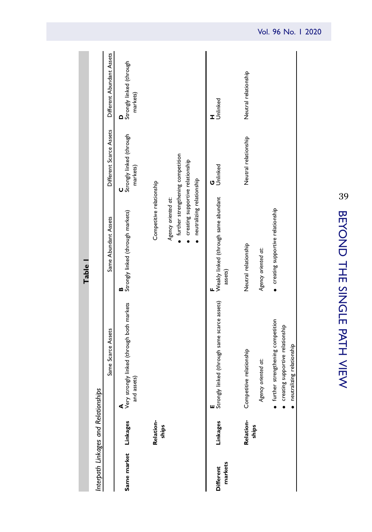<span id="page-9-0"></span>

|                                      |                    |                                                                                                          | <b>Table</b>                                                  |                                           |                                           |
|--------------------------------------|--------------------|----------------------------------------------------------------------------------------------------------|---------------------------------------------------------------|-------------------------------------------|-------------------------------------------|
| Interpath Linkages and Relationships |                    |                                                                                                          |                                                               |                                           |                                           |
|                                      |                    | Same Scarce Assets                                                                                       | Same Abundant Assets                                          | Different Scarce Assets                   | Different Abundant Assets                 |
| Same market Linkages                 |                    | <b>A</b><br>Very strongly linked (through both markets<br>and assets                                     | <b>B</b><br>Strongly linked (through markets)                 | C<br>Strongly linked (through<br>markets) | D<br>Strongly linked (through<br>markets) |
|                                      | Relation-<br>ships |                                                                                                          | Competitive relationship                                      |                                           |                                           |
|                                      |                    |                                                                                                          | · further strengthening competition<br>Agency oriented at:    |                                           |                                           |
|                                      |                    |                                                                                                          | creating supportive relationship<br>neutralizing relationship |                                           |                                           |
| markets<br><b>Different</b>          | Linkages           | Strongly linked (through same scarce assets)<br>ш                                                        | Weakly linked (through same abundant<br>assets)               | Unlinked                                  | H<br>Unlinked                             |
|                                      | Relation-          | relationship<br>Competitive                                                                              | Neutral relationship                                          | Neutral relationship                      | Neutral relationship                      |
|                                      | ships              | Agency oriented at:                                                                                      | Agency oriented at:                                           |                                           |                                           |
|                                      |                    | · further strengthening competition<br>· creating supportive relationship<br>· neutralizing relationship | · creating supportive relationship                            |                                           |                                           |
|                                      |                    |                                                                                                          |                                                               |                                           |                                           |

39BEYO<br>DHI THE SINGLE PATHVIEW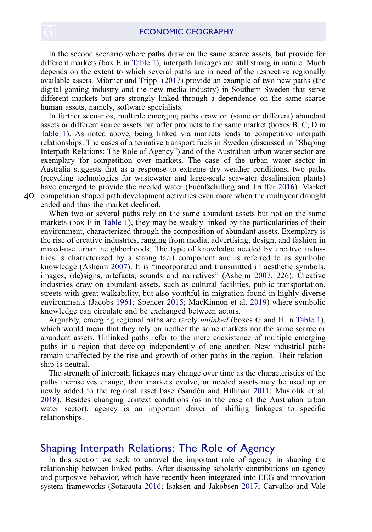<span id="page-10-4"></span>In the second scenario where paths draw on the same scarce assets, but provide for different markets (box E in [Table 1\)](#page-9-0), interpath linkages are still strong in nature. Much depends on the extent to which several paths are in need of the respective regionally available assets. Miörner and Trippl ([2017\)](#page-21-10) provide an example of two new paths (the digital gaming industry and the new media industry) in Southern Sweden that serve different markets but are strongly linked through a dependence on the same scarce human assets, namely, software specialists.

In further scenarios, multiple emerging paths draw on (same or different) abundant assets or different scarce assets but offer products to the same market (boxes B, C, D in [Table 1](#page-9-0)). As noted above, being linked via markets leads to competitive interpath relationships. The cases of alternative transport fuels in Sweden (discussed in "Shaping Interpath Relations: The Role of Agency") and of the Australian urban water sector are exemplary for competition over markets. The case of the urban water sector in Australia suggests that as a response to extreme dry weather conditions, two paths (recycling technologies for wastewater and large-scale seawater desalination plants) have emerged to provide the needed water (Fuenfschilling and Truffer [2016](#page-19-15)). Market 4[0](http://www.tandfonline.com) competition shaped path development activities even more when the multiyear drought

<span id="page-10-1"></span>ended and thus the market declined.

When two or several paths rely on the same abundant assets but not on the same markets (box F in [Table 1\)](#page-9-0), they may be weakly linked by the particularities of their environment, characterized through the composition of abundant assets. Exemplary is the rise of creative industries, ranging from media, advertising, design, and fashion in mixed-use urban neighborhoods. The type of knowledge needed by creative industries is characterized by a strong tacit component and is referred to as symbolic knowledge (Asheim [2007\)](#page-18-3). It is "incorporated and transmitted in aesthetic symbols, images, (de)signs, artefacts, sounds and narratives" (Asheim [2007,](#page-18-3) 226). Creative industries draw on abundant assets, such as cultural facilities, public transportation, streets with great walkability, but also youthful in-migration found in highly diverse environments (Jacobs [1961;](#page-20-15) Spencer [2015;](#page-21-11) MacKinnon et al. [2019](#page-20-0)) where symbolic knowledge can circulate and be exchanged between actors.

<span id="page-10-3"></span><span id="page-10-0"></span>Arguably, emerging regional paths are rarely unlinked (boxes G and H in [Table 1\)](#page-9-0), which would mean that they rely on neither the same markets nor the same scarce or abundant assets. Unlinked paths refer to the mere coexistence of multiple emerging paths in a region that develop independently of one another. New industrial paths remain unaffected by the rise and growth of other paths in the region. Their relationship is neutral.

<span id="page-10-5"></span>The strength of interpath linkages may change over time as the characteristics of the paths themselves change, their markets evolve, or needed assets may be used up or newly added to the regional asset base (Sandén and Hillman [2011](#page-21-9); Musiolik et al. [2018](#page-21-12)). Besides changing context conditions (as in the case of the Australian urban water sector), agency is an important driver of shifting linkages to specific relationships.

### Shaping Interpath Relations: The Role of Agency

<span id="page-10-2"></span>In this section we seek to unravel the important role of agency in shaping the relationship between linked paths. After discussing scholarly contributions on agency and purposive behavior, which have recently been integrated into EEG and innovation system frameworks (Sotarauta [2016](#page-21-13); Isaksen and Jakobsen [2017](#page-20-16); Carvalho and Vale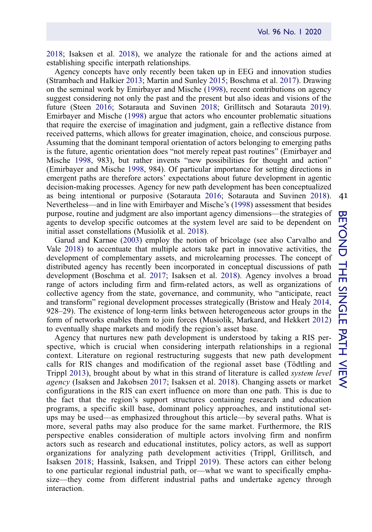[2018;](#page-19-11) Isaksen et al. [2018\)](#page-20-17), we analyze the rationale for and the actions aimed at establishing specific interpath relationships.

<span id="page-11-5"></span><span id="page-11-3"></span>Agency concepts have only recently been taken up in EEG and innovation studies (Strambach and Halkier [2013;](#page-21-14) Martin and Sunley [2015;](#page-20-18) Boschma et al. [2017](#page-19-8)). Drawing on the seminal work by Emirbayer and Mische [\(1998](#page-19-16)), recent contributions on agency suggest considering not only the past and the present but also ideas and visions of the future (Steen [2016](#page-21-15); Sotarauta and Suvinen [2018](#page-21-16); Grillitsch and Sotarauta [2019\)](#page-19-17). Emirbayer and Mische ([1998\)](#page-19-16) argue that actors who encounter problematic situations that require the exercise of imagination and judgment, gain a reflective distance from received patterns, which allows for greater imagination, choice, and conscious purpose. Assuming that the dominant temporal orientation of actors belonging to emerging paths is the future, agentic orientation does "not merely repeat past routines" (Emirbayer and Mische [1998](#page-19-16), 983), but rather invents "new possibilities for thought and action" (Emirbayer and Mische [1998,](#page-19-16) 984). Of particular importance for setting directions in emergent paths are therefore actors' expectations about future development in agentic decision-making processes. Agency for new path development has been conceptualized as being intentional or purposive (Sotarauta [2016;](#page-21-13) Sotarauta and Suvinen [2018\)](#page-21-16). Nevertheless—and in line with Emirbayer and Mische's [\(1998](#page-19-16)) assessment that besides purpose, routine and judgment are also important agency dimensions—the strategies of agents to develop specific outcomes at the system level are said to be dependent on initial asset constellations (Musiolik et al. [2018](#page-21-12)).

<span id="page-11-7"></span><span id="page-11-2"></span><span id="page-11-1"></span>Garud and Karnøe ([2003\)](#page-19-18) employ the notion of bricolage (see also Carvalho and Vale [2018\)](#page-19-11) to accentuate that multiple actors take part in innovative activities, the development of complementary assets, and microlearning processes. The concept of distributed agency has recently been incorporated in conceptual discussions of path development (Boschma et al. [2017;](#page-19-8) Isaksen et al. [2018](#page-20-17)). Agency involves a broad range of actors including firm and firm-related actors, as well as organizations of collective agency from the state, governance, and community, who "anticipate, react and transform" regional development processes strategically (Bristow and Healy [2014](#page-19-19), 928–29). The existence of long-term links between heterogeneous actor groups in the form of networks enables them to join forces (Musiolik, Markard, and Hekkert [2012](#page-21-17)) to eventually shape markets and modify the region's asset base.

<span id="page-11-6"></span><span id="page-11-4"></span><span id="page-11-0"></span>Agency that nurtures new path development is understood by taking a RIS perspective, which is crucial when considering interpath relationships in a regional context. Literature on regional restructuring suggests that new path development calls for RIS changes and modification of the regional asset base (Tödtling and Trippl [2013\)](#page-21-6), brought about by what in this strand of literature is called system level agency (Isaksen and Jakobsen [2017;](#page-20-16) Isaksen et al. [2018](#page-20-17)). Changing assets or market configurations in the RIS can exert influence on more than one path. This is due to the fact that the region's support structures containing research and education programs, a specific skill base, dominant policy approaches, and institutional setups may be used—as emphasized throughout this article—by several paths. What is more, several paths may also produce for the same market. Furthermore, the RIS perspective enables consideration of multiple actors involving firm and nonfirm actors such as research and educational institutes, policy actors, as well as support organizations for analyzing path development activities (Trippl, Grillitsch, and Isaksen [2018;](#page-21-2) Hassink, Isaksen, and Trippl [2019](#page-20-4)). These actors can either belong to one particular regional industrial path, or—what we want to specifically emphasize—they come from different industrial paths and undertake agency through interaction.

41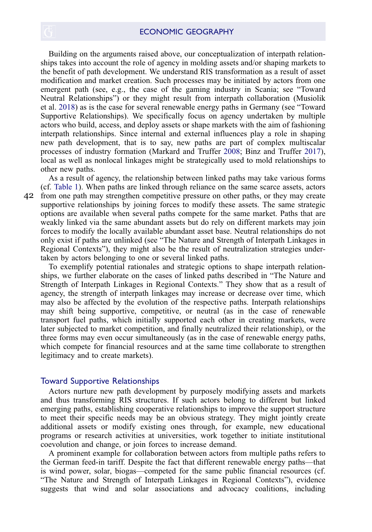Building on the arguments raised above, our conceptualization of interpath relationships takes into account the role of agency in molding assets and/or shaping markets to the benefit of path development. We understand RIS transformation as a result of asset modification and market creation. Such processes may be initiated by actors from one emergent path (see, e.g., the case of the gaming industry in Scania; see "Toward Neutral Relationships") or they might result from interpath collaboration (Musiolik et al. [2018\)](#page-21-12) as is the case for several renewable energy paths in Germany (see "Toward Supportive Relationships). We specifically focus on agency undertaken by multiple actors who build, access, and deploy assets or shape markets with the aim of fashioning interpath relationships. Since internal and external influences play a role in shaping new path development, that is to say, new paths are part of complex multiscalar processes of industry formation (Markard and Truffer [2008](#page-20-19); Binz and Truffer [2017\)](#page-19-10), local as well as nonlocal linkages might be strategically used to mold relationships to other new paths.

<span id="page-12-0"></span>As a result of agency, the relationship between linked paths may take various forms (cf. [Table 1](#page-9-0)). When paths are linked through reliance on the same scarce assets, actors from one path may strengthen competitive pressure on other paths, or they may create 4[2](http://www.tandfonline.com) supportive relationships by joining forces to modify these assets. The same strategic options are available when several paths compete for the same market. Paths that are weakly linked via the same abundant assets but do rely on different markets may join forces to modify the locally available abundant asset base. Neutral relationships do not only exist if paths are unlinked (see "The Nature and Strength of Interpath Linkages in Regional Contexts"), they might also be the result of neutralization strategies undertaken by actors belonging to one or several linked paths.

To exemplify potential rationales and strategic options to shape interpath relationships, we further elaborate on the cases of linked paths described in "The Nature and Strength of Interpath Linkages in Regional Contexts." They show that as a result of agency, the strength of interpath linkages may increase or decrease over time, which may also be affected by the evolution of the respective paths. Interpath relationships may shift being supportive, competitive, or neutral (as in the case of renewable transport fuel paths, which initially supported each other in creating markets, were later subjected to market competition, and finally neutralized their relationship), or the three forms may even occur simultaneously (as in the case of renewable energy paths, which compete for financial resources and at the same time collaborate to strengthen legitimacy and to create markets).

#### Toward Supportive Relationships

Actors nurture new path development by purposely modifying assets and markets and thus transforming RIS structures. If such actors belong to different but linked emerging paths, establishing cooperative relationships to improve the support structure to meet their specific needs may be an obvious strategy. They might jointly create additional assets or modify existing ones through, for example, new educational programs or research activities at universities, work together to initiate institutional coevolution and change, or join forces to increase demand.

A prominent example for collaboration between actors from multiple paths refers to the German feed-in tariff. Despite the fact that different renewable energy paths—that is wind power, solar, biogas—competed for the same public financial resources (cf. "The Nature and Strength of Interpath Linkages in Regional Contexts"), evidence suggests that wind and solar associations and advocacy coalitions, including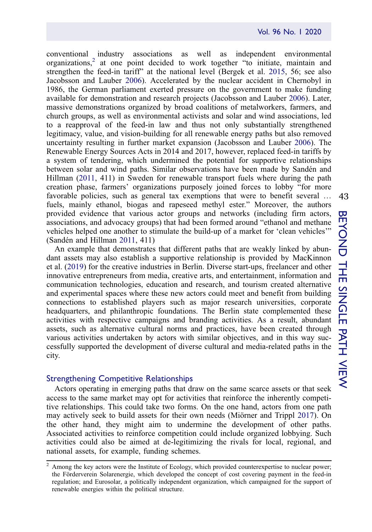conventional industry associations as well as independent environmental organizations,<sup>[2](#page-13-0)</sup> at one point decided to work together "to initiate, maintain and strengthen the feed-in tariff" at the national level (Bergek et al. [2015](#page-18-1), 56; see also Jacobsson and Lauber [2006](#page-20-14)). Accelerated by the nuclear accident in Chernobyl in 1986, the German parliament exerted pressure on the government to make funding available for demonstration and research projects (Jacobsson and Lauber [2006\)](#page-20-14). Later, massive demonstrations organized by broad coalitions of metalworkers, farmers, and church groups, as well as environmental activists and solar and wind associations, led to a reapproval of the feed-in law and thus not only substantially strengthened legitimacy, value, and vision-building for all renewable energy paths but also removed uncertainty resulting in further market expansion (Jacobsson and Lauber [2006](#page-20-14)). The Renewable Energy Sources Acts in 2014 and 2017, however, replaced feed-in tariffs by a system of tendering, which undermined the potential for supportive relationships between solar and wind paths. Similar observations have been made by Sandén and Hillman [\(2011,](#page-21-9) 411) in Sweden for renewable transport fuels where during the path creation phase, farmers' organizations purposely joined forces to lobby "for more favorable policies, such as general tax exemptions that were to benefit several … fuels, mainly ethanol, biogas and rapeseed methyl ester." Moreover, the authors provided evidence that various actor groups and networks (including firm actors, associations, and advocacy groups) that had been formed around "ethanol and methane vehicles helped one another to stimulate the build-up of a market for 'clean vehicles'" (Sandén and Hillman [2011,](#page-21-9) 411)

An example that demonstrates that different paths that are weakly linked by abundant assets may also establish a supportive relationship is provided by MacKinnon et al. [\(2019](#page-20-0)) for the creative industries in Berlin. Diverse start-ups, freelancer and other innovative entrepreneurs from media, creative arts, and entertainment, information and communication technologies, education and research, and tourism created alternative and experimental spaces where these new actors could meet and benefit from building connections to established players such as major research universities, corporate headquarters, and philanthropic foundations. The Berlin state complemented these activities with respective campaigns and branding activities. As a result, abundant assets, such as alternative cultural norms and practices, have been created through various activities undertaken by actors with similar objectives, and in this way successfully supported the development of diverse cultural and media-related paths in the city.

#### Strengthening Competitive Relationships

Actors operating in emerging paths that draw on the same scarce assets or that seek access to the same market may opt for activities that reinforce the inherently competitive relationships. This could take two forms. On the one hand, actors from one path may actively seek to build assets for their own needs (Miörner and Trippl [2017](#page-21-10)). On the other hand, they might aim to undermine the development of other paths. Associated activities to reinforce competition could include organized lobbying. Such activities could also be aimed at de-legitimizing the rivals for local, regional, and national assets, for example, funding schemes.

<span id="page-13-0"></span><sup>2</sup> Among the key actors were the Institute of Ecology, which provided counterexpertise to nuclear power; the Förderverein Solarenergie, which developed the concept of cost covering payment in the feed-in regulation; and Eurosolar, a politically independent organization, which campaigned for the support of renewable energies within the political structure.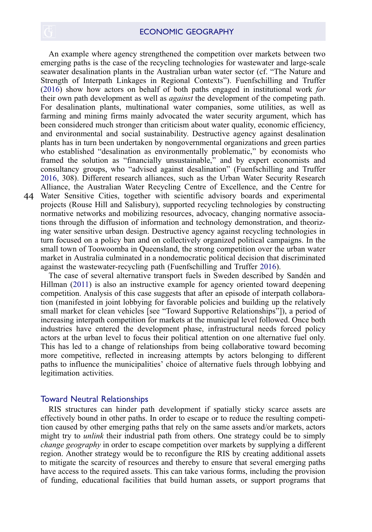An example where agency strengthened the competition over markets between two emerging paths is the case of the recycling technologies for wastewater and large-scale seawater desalination plants in the Australian urban water sector (cf. "The Nature and Strength of Interpath Linkages in Regional Contexts"). Fuenfschilling and Truffer ([2016\)](#page-19-15) show how actors on behalf of both paths engaged in institutional work for their own path development as well as against the development of the competing path. For desalination plants, multinational water companies, some utilities, as well as farming and mining firms mainly advocated the water security argument, which has been considered much stronger than criticism about water quality, economic efficiency, and environmental and social sustainability. Destructive agency against desalination plants has in turn been undertaken by nongovernmental organizations and green parties who established "desalination as environmentally problematic," by economists who framed the solution as "financially unsustainable," and by expert economists and consultancy groups, who "advised against desalination" (Fuenfschilling and Truffer [2016,](#page-19-15) 308). Different research alliances, such as the Urban Water Security Research Alliance, the Australian Water Recycling Centre of Excellence, and the Centre for Water Sensitive Cities, together with scientific advisory boards and experimental 4[4](http://www.tandfonline.com) projects (Rouse Hill and Salisbury), supported recycling technologies by constructing normative networks and mobilizing resources, advocacy, changing normative associations through the diffusion of information and technology demonstration, and theorizing water sensitive urban design. Destructive agency against recycling technologies in turn focused on a policy ban and on collectively organized political campaigns. In the small town of Toowoomba in Queensland, the strong competition over the urban water market in Australia culminated in a nondemocratic political decision that discriminated against the wastewater-recycling path (Fuenfschilling and Truffer [2016](#page-19-15)).

The case of several alternative transport fuels in Sweden described by Sandén and Hillman ([2011\)](#page-21-9) is also an instructive example for agency oriented toward deepening competition. Analysis of this case suggests that after an episode of interpath collaboration (manifested in joint lobbying for favorable policies and building up the relatively small market for clean vehicles [see "Toward Supportive Relationships"]), a period of increasing interpath competition for markets at the municipal level followed. Once both industries have entered the development phase, infrastructural needs forced policy actors at the urban level to focus their political attention on one alternative fuel only. This has led to a change of relationships from being collaborative toward becoming more competitive, reflected in increasing attempts by actors belonging to different paths to influence the municipalities' choice of alternative fuels through lobbying and legitimation activities.

#### Toward Neutral Relationships

RIS structures can hinder path development if spatially sticky scarce assets are effectively bound in other paths. In order to escape or to reduce the resulting competition caused by other emerging paths that rely on the same assets and/or markets, actors might try to *unlink* their industrial path from others. One strategy could be to simply change geography in order to escape competition over markets by supplying a different region. Another strategy would be to reconfigure the RIS by creating additional assets to mitigate the scarcity of resources and thereby to ensure that several emerging paths have access to the required assets. This can take various forms, including the provision of funding, educational facilities that build human assets, or support programs that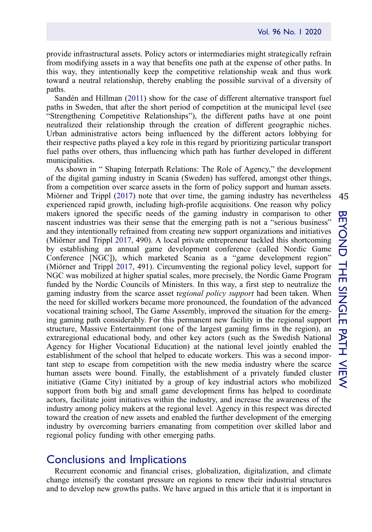provide infrastructural assets. Policy actors or intermediaries might strategically refrain from modifying assets in a way that benefits one path at the expense of other paths. In this way, they intentionally keep the competitive relationship weak and thus work toward a neutral relationship, thereby enabling the possible survival of a diversity of paths.

Sandén and Hillman ([2011\)](#page-21-9) show for the case of different alternative transport fuel paths in Sweden, that after the short period of competition at the municipal level (see "Strengthening Competitive Relationships"), the different paths have at one point neutralized their relationship through the creation of different geographic niches. Urban administrative actors being influenced by the different actors lobbying for their respective paths played a key role in this regard by prioritizing particular transport fuel paths over others, thus influencing which path has further developed in different municipalities.

As shown in " Shaping Interpath Relations: The Role of Agency," the development of the digital gaming industry in Scania (Sweden) has suffered, amongst other things, from a competition over scarce assets in the form of policy support and human assets. Miörner and Trippl ([2017\)](#page-21-10) note that over time, the gaming industry has nevertheless experienced rapid growth, including high-profile acquisitions. One reason why policy makers ignored the specific needs of the gaming industry in comparison to other nascent industries was their sense that the emerging path is not a "serious business" and they intentionally refrained from creating new support organizations and initiatives (Miörner and Trippl [2017,](#page-21-10) 490). A local private entrepreneur tackled this shortcoming by establishing an annual game development conference (called Nordic Game Conference [NGC]), which marketed Scania as a "game development region" (Miörner and Trippl [2017](#page-21-10), 491). Circumventing the regional policy level, support for NGC was mobilized at higher spatial scales, more precisely, the Nordic Game Program funded by the Nordic Councils of Ministers. In this way, a first step to neutralize the gaming industry from the scarce asset regional policy support had been taken. When the need for skilled workers became more pronounced, the foundation of the advanced vocational training school, The Game Assembly, improved the situation for the emerging gaming path considerably. For this permanent new facility in the regional support structure, Massive Entertainment (one of the largest gaming firms in the region), an extraregional educational body, and other key actors (such as the Swedish National Agency for Higher Vocational Education) at the national level jointly enabled the establishment of the school that helped to educate workers. This was a second important step to escape from competition with the new media industry where the scarce human assets were bound. Finally, the establishment of a privately funded cluster initiative (Game City) initiated by a group of key industrial actors who mobilized support from both big and small game development firms has helped to coordinate actors, facilitate joint initiatives within the industry, and increase the awareness of the industry among policy makers at the regional level. Agency in this respect was directed toward the creation of new assets and enabled the further development of the emerging industry by overcoming barriers emanating from competition over skilled labor and regional policy funding with other emerging paths.

# Conclusions and Implications

Recurrent economic and financial crises, globalization, digitalization, and climate change intensify the constant pressure on regions to renew their industrial structures and to develop new growths paths. We have argued in this article that it is important in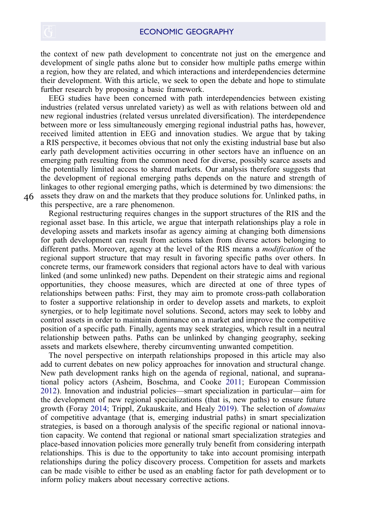the context of new path development to concentrate not just on the emergence and development of single paths alone but to consider how multiple paths emerge within a region, how they are related, and which interactions and interdependencies determine their development. With this article, we seek to open the debate and hope to stimulate further research by proposing a basic framework.

EEG studies have been concerned with path interdependencies between existing industries (related versus unrelated variety) as well as with relations between old and new regional industries (related versus unrelated diversification). The interdependence between more or less simultaneously emerging regional industrial paths has, however, received limited attention in EEG and innovation studies. We argue that by taking a RIS perspective, it becomes obvious that not only the existing industrial base but also early path development activities occurring in other sectors have an influence on an emerging path resulting from the common need for diverse, possibly scarce assets and the potentially limited access to shared markets. Our analysis therefore suggests that the development of regional emerging paths depends on the nature and strength of linkages to other regional emerging paths, which is determined by two dimensions: the assets they draw on and the markets that they produce solutions for. Unlinked paths, in

this perspective, are a rare phenomenon.

Regional restructuring requires changes in the support structures of the RIS and the regional asset base. In this article, we argue that interpath relationships play a role in developing assets and markets insofar as agency aiming at changing both dimensions for path development can result from actions taken from diverse actors belonging to different paths. Moreover, agency at the level of the RIS means a modification of the regional support structure that may result in favoring specific paths over others. In concrete terms, our framework considers that regional actors have to deal with various linked (and some unlinked) new paths. Dependent on their strategic aims and regional opportunities, they choose measures, which are directed at one of three types of relationships between paths: First, they may aim to promote cross-path collaboration to foster a supportive relationship in order to develop assets and markets, to exploit synergies, or to help legitimate novel solutions. Second, actors may seek to lobby and control assets in order to maintain dominance on a market and improve the competitive position of a specific path. Finally, agents may seek strategies, which result in a neutral relationship between paths. Paths can be unlinked by changing geography, seeking assets and markets elsewhere, thereby circumventing unwanted competition.

<span id="page-16-1"></span><span id="page-16-0"></span>The novel perspective on interpath relationships proposed in this article may also add to current debates on new policy approaches for innovation and structural change. New path development ranks high on the agenda of regional, national, and supranational policy actors (Asheim, Boschma, and Cooke [2011;](#page-18-4) European Commission [2012\)](#page-19-20). Innovation and industrial policies—smart specialization in particular—aim for the development of new regional specializations (that is, new paths) to ensure future growth (Foray [2014;](#page-19-21) Trippl, Zukauskaite, and Healy [2019](#page-21-18)). The selection of domains of competitive advantage (that is, emerging industrial paths) in smart specialization strategies, is based on a thorough analysis of the specific regional or national innovation capacity. We contend that regional or national smart specialization strategies and place-based innovation policies more generally truly benefit from considering interpath relationships. This is due to the opportunity to take into account promising interpath relationships during the policy discovery process. Competition for assets and markets can be made visible to either be used as an enabling factor for path development or to inform policy makers about necessary corrective actions.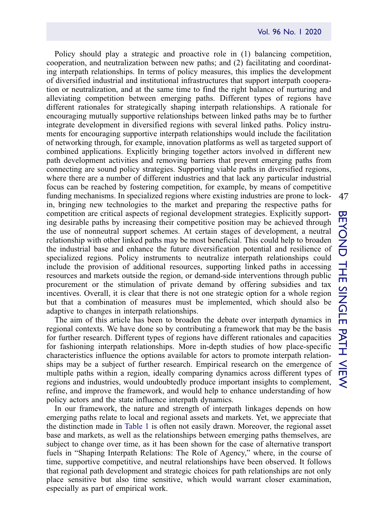Policy should play a strategic and proactive role in (1) balancing competition, cooperation, and neutralization between new paths; and (2) facilitating and coordinating interpath relationships. In terms of policy measures, this implies the development of diversified industrial and institutional infrastructures that support interpath cooperation or neutralization, and at the same time to find the right balance of nurturing and alleviating competition between emerging paths. Different types of regions have different rationales for strategically shaping interpath relationships. A rationale for encouraging mutually supportive relationships between linked paths may be to further integrate development in diversified regions with several linked paths. Policy instruments for encouraging supportive interpath relationships would include the facilitation of networking through, for example, innovation platforms as well as targeted support of combined applications. Explicitly bringing together actors involved in different new path development activities and removing barriers that prevent emerging paths from connecting are sound policy strategies. Supporting viable paths in diversified regions, where there are a number of different industries and that lack any particular industrial focus can be reached by fostering competition, for example, by means of competitive funding mechanisms. In specialized regions where existing industries are prone to lockin, bringing new technologies to the market and preparing the respective paths for competition are critical aspects of regional development strategies. Explicitly supporting desirable paths by increasing their competitive position may be achieved through the use of nonneutral support schemes. At certain stages of development, a neutral relationship with other linked paths may be most beneficial. This could help to broaden the industrial base and enhance the future diversification potential and resilience of specialized regions. Policy instruments to neutralize interpath relationships could include the provision of additional resources, supporting linked paths in accessing resources and markets outside the region, or demand-side interventions through public procurement or the stimulation of private demand by offering subsidies and tax incentives. Overall, it is clear that there is not one strategic option for a whole region but that a combination of measures must be implemented, which should also be adaptive to changes in interpath relationships.

The aim of this article has been to broaden the debate over interpath dynamics in regional contexts. We have done so by contributing a framework that may be the basis for further research. Different types of regions have different rationales and capacities for fashioning interpath relationships. More in-depth studies of how place-specific characteristics influence the options available for actors to promote interpath relationships may be a subject of further research. Empirical research on the emergence of multiple paths within a region, ideally comparing dynamics across different types of regions and industries, would undoubtedly produce important insights to complement, refine, and improve the framework, and would help to enhance understanding of how policy actors and the state influence interpath dynamics.

In our framework, the nature and strength of interpath linkages depends on how emerging paths relate to local and regional assets and markets. Yet, we appreciate that the distinction made in [Table 1](#page-9-0) is often not easily drawn. Moreover, the regional asset base and markets, as well as the relationships between emerging paths themselves, are subject to change over time, as it has been shown for the case of alternative transport fuels in "Shaping Interpath Relations: The Role of Agency," where, in the course of time, supportive competitive, and neutral relationships have been observed. It follows that regional path development and strategic choices for path relationships are not only place sensitive but also time sensitive, which would warrant closer examination, especially as part of empirical work.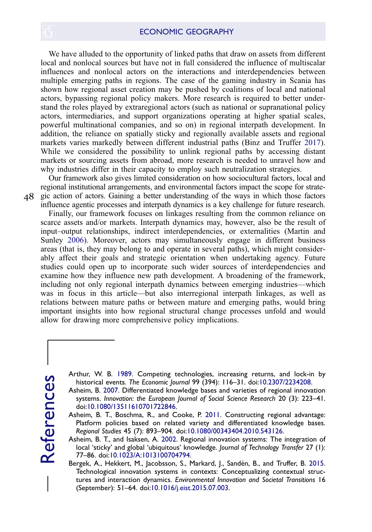We have alluded to the opportunity of linked paths that draw on assets from different local and nonlocal sources but have not in full considered the influence of multiscalar influences and nonlocal actors on the interactions and interdependencies between multiple emerging paths in regions. The case of the gaming industry in Scania has shown how regional asset creation may be pushed by coalitions of local and national actors, bypassing regional policy makers. More research is required to better understand the roles played by extraregional actors (such as national or supranational policy actors, intermediaries, and support organizations operating at higher spatial scales, powerful multinational companies, and so on) in regional interpath development. In addition, the reliance on spatially sticky and regionally available assets and regional markets varies markedly between different industrial paths (Binz and Truffer [2017\)](#page-19-10). While we considered the possibility to unlink regional paths by accessing distant markets or sourcing assets from abroad, more research is needed to unravel how and why industries differ in their capacity to employ such neutralization strategies.

Our framework also gives limited consideration on how sociocultural factors, local and regional institutional arrangements, and environmental factors impact the scope for strategic action of actors. Gaining a better understanding of the ways in which those factors influence agentic processes and interpath dynamics is a key challenge for future research.

Finally, our framework focuses on linkages resulting from the common reliance on scarce assets and/or markets. Interpath dynamics may, however, also be the result of input–output relationships, indirect interdependencies, or externalities (Martin and Sunley [2006\)](#page-20-5). Moreover, actors may simultaneously engage in different business areas (that is, they may belong to and operate in several paths), which might considerably affect their goals and strategic orientation when undertaking agency. Future studies could open up to incorporate such wider sources of interdependencies and examine how they influence new path development. A broadening of the framework, including not only regional interpath dynamics between emerging industries—which was in focus in this article—but also interregional interpath linkages, as well as relations between mature paths or between mature and emerging paths, would bring important insights into how regional structural change processes unfold and would allow for drawing more comprehensive policy implications.

<span id="page-18-0"></span>

4[8](http://www.tandfonline.com)

historical events. The Economic Journal 99 (394): 116–31. doi[:10.2307/2234208](https://doi.org/10.2307/2234208).

Asheim, B. [2007.](#page-10-0) Differentiated knowledge bases and varieties of regional innovation systems. Innovation: the European Journal of Social Science Research 20 (3): 223–41. doi:[10.1080/13511610701722846.](https://doi.org/10.1080/13511610701722846)

<span id="page-18-2"></span>Asheim, B. T., Boschma, R., and Cooke, P. [2011](#page-16-0). Constructing regional advantage: Platform policies based on related variety and differentiated knowledge bases. Regional Studies 45 (7): 893–904. doi:[10.1080/00343404.2010.543126.](https://doi.org/10.1080/00343404.2010.543126)

<span id="page-18-4"></span><span id="page-18-3"></span>Arthur, W. B. [1989](#page-4-0). Competing technologies, increasing returns, and lock-in by<br>
historical events. The Economic Journal 99 (394): 116–31. doi:10.2307/2234208.<br>
Asheim, B. 2007. Differentiated knowledge bases and varieties Asheim, B. T., and Isaksen, A. [2002.](#page-7-0) Regional innovation systems: The integration of local 'sticky' and global 'ubiquitous' knowledge. Journal of Technology Transfer 27 (1): 77–86. doi[:10.1023/A:1013100704794](https://doi.org/10.1023/A:1013100704794).

<span id="page-18-1"></span>Bergek, A., Hekkert, M., Jacobsson, S., Markard, J., Sandén, B., and Truffer, B. [2015.](#page-6-0) Technological innovation systems in contexts: Conceptualizing contextual structures and interaction dynamics. Environmental Innovation and Societal Transitions 16 (September): 51–64. doi[:10.1016/j.eist.2015.07.003.](https://doi.org/10.1016/j.eist.2015.07.003)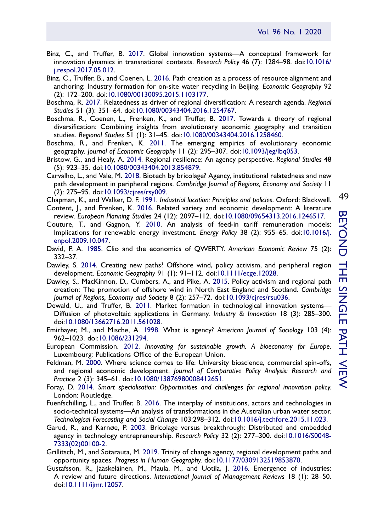- <span id="page-19-10"></span>Binz, C., and Truffer, B. [2017.](#page-6-1) Global innovation systems—A conceptual framework for innovation dynamics in transnational contexts. Research Policy 46 (7): 1284–98. doi:[10.1016/](https://doi.org/10.1016/j.respol.2017.05.012) [j.respol.2017.05.012](https://doi.org/10.1016/j.respol.2017.05.012).
- <span id="page-19-1"></span>Binz, C., Truffer, B., and Coenen, L. [2016.](#page-2-0) Path creation as a process of resource alignment and anchoring: Industry formation for on-site water recycling in Beijing. Economic Geography 92 (2): 172–200. doi[:10.1080/00130095.2015.1103177.](https://doi.org/10.1080/00130095.2015.1103177)
- <span id="page-19-8"></span><span id="page-19-2"></span>Boschma, R. [2017.](#page-2-1) Relatedness as driver of regional diversification: A research agenda. Regional Studies 51 (3): 351–64. doi:[10.1080/00343404.2016.1254767.](https://doi.org/10.1080/00343404.2016.1254767)
- Boschma, R., Coenen, L., Frenken, K., and Truffer, B. [2017.](#page-5-0) Towards a theory of regional diversification: Combining insights from evolutionary economic geography and transition studies. Regional Studies 51 (1): 31–45. doi[:10.1080/00343404.2016.1258460](https://doi.org/10.1080/00343404.2016.1258460).
- <span id="page-19-19"></span><span id="page-19-5"></span>Boschma, R., and Frenken, K. [2011.](#page-3-0) The emerging empirics of evolutionary economic geography. Journal of Economic Geography 11 (2): 295–307. doi:[10.1093/jeg/lbq053](https://doi.org/10.1093/jeg/lbq053).
- <span id="page-19-11"></span>Bristow, G., and Healy, A. [2014.](#page-11-0) Regional resilience: An agency perspective. Regional Studies 48 (5): 923–35. doi[:10.1080/00343404.2013.854879.](https://doi.org/10.1080/00343404.2013.854879)
- Carvalho, L., and Vale, M. [2018.](#page-6-2) Biotech by bricolage? Agency, institutional relatedness and new path development in peripheral regions. Cambridge Journal of Regions, Economy and Society 11 (2): 275–95. doi[:10.1093/cjres/rsy009.](https://doi.org/10.1093/cjres/rsy009)
- <span id="page-19-7"></span><span id="page-19-0"></span>Chapman, K., and Walker, D. F. [1991.](#page-2-2) Industrial location: Principles and policies. Oxford: Blackwell.
- <span id="page-19-14"></span>Content, J., and Frenken, K. [2016.](#page-4-1) Related variety and economic development: A literature review. European Planning Studies 24 (12): 2097–112. doi[:10.1080/09654313.2016.1246517.](https://doi.org/10.1080/09654313.2016.1246517)
- Couture, T., and Gagnon, Y. [2010](#page-8-1). An analysis of feed-in tariff remuneration models: Implications for renewable energy investment. Energy Policy 38 (2): 955–65. doi:[10.1016/j.](https://doi.org/10.1016/j.enpol.2009.10.047) [enpol.2009.10.047](https://doi.org/10.1016/j.enpol.2009.10.047).
- <span id="page-19-6"></span><span id="page-19-3"></span>David, P. A. [1985](#page-4-0). Clio and the economics of QWERTY. American Economic Review 75 (2): 332–37.
- <span id="page-19-4"></span>Dawley, S. [2014.](#page-2-3) Creating new paths? Offshore wind, policy activism, and peripheral region development. Economic Geography 91 (1): 91–112. doi[:10.1111/ecge.12028.](https://doi.org/10.1111/ecge.12028)
- Dawley, S., MacKinnon, D., Cumbers, A., and Pike, A. [2015](#page-2-3). Policy activism and regional path creation: The promotion of offshore wind in North East England and Scotland. Cambridge Journal of Regions, Economy and Society 8 (2): 257–72. doi:[10.1093/cjres/rsu036.](https://doi.org/10.1093/cjres/rsu036)
- <span id="page-19-12"></span>Dewald, U., and Truffer, B. [2011](#page-6-3). Market formation in technological innovation systems-Diffusion of photovoltaic applications in Germany. Industry & Innovation 18 (3): 285–300. doi[:10.1080/13662716.2011.561028](https://doi.org/10.1080/13662716.2011.561028).
- <span id="page-19-20"></span><span id="page-19-16"></span>Emirbayer, M., and Mische, A. [1998](#page-11-1). What is agency? American Journal of Sociology 103 (4): 962–1023. doi:[10.1086/231294](https://doi.org/10.1086/231294).
- <span id="page-19-13"></span>European Commission. [2012.](#page-16-0) Innovating for sustainable growth. A bioeconomy for Europe. Luxembourg: Publications Office of the European Union.
- Feldman, M. [2000.](#page-7-1) Where science comes to life: University bioscience, commercial spin-offs, and regional economic development. Journal of Comparative Policy Analysis: Research and Practice 2 (3): 345–61. doi:[10.1080/13876980008412651](https://doi.org/10.1080/13876980008412651).
- <span id="page-19-21"></span><span id="page-19-15"></span>Foray, D. [2014.](#page-16-1) Smart specialisation: Opportunities and challenges for regional innovation policy. London: Routledge.
- Fuenfschilling, L., and Truffer, B. [2016.](#page-10-1) The interplay of institutions, actors and technologies in socio-technical systems—An analysis of transformations in the Australian urban water sector. Technological Forecasting and Social Change 103:298–312. doi:[10.1016/j.techfore.2015.11.023](https://doi.org/10.1016/j.techfore.2015.11.023).
- <span id="page-19-18"></span>Garud, R., and Karnøe, P. [2003.](#page-11-2) Bricolage versus breakthrough: Distributed and embedded agency in technology entrepreneurship. Research Policy 32 (2): 277–300. doi[:10.1016/S0048-](https://doi.org/10.1016/S0048-7333(02)00100-2) [7333\(02\)00100-2.](https://doi.org/10.1016/S0048-7333(02)00100-2)
- <span id="page-19-17"></span><span id="page-19-9"></span>Grillitsch, M., and Sotarauta, M. [2019.](#page-11-3) Trinity of change agency, regional development paths and opportunity spaces. Progress in Human Geography. doi:[10.1177/0309132519853870.](https://doi.org/10.1177/0309132519853870)
- Gustafsson, R., Jääskeläinen, M., Maula, M., and Uotila, J. [2016.](#page-5-1) Emergence of industries: A review and future directions. International Journal of Management Reviews 18 (1): 28–50. doi[:10.1111/ijmr.12057](https://doi.org/10.1111/ijmr.12057).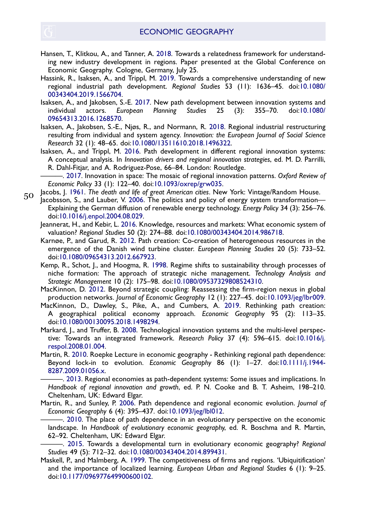- <span id="page-20-10"></span>Hansen, T., Klitkou, A., and Tanner, A. [2018.](#page-6-2) Towards a relatedness framework for understanding new industry development in regions. Paper presented at the Global Conference on Economic Geography. Cologne, Germany, July 25.
- <span id="page-20-4"></span>Hassink, R., Isaksen, A., and Trippl, M. [2019.](#page-3-1) Towards a comprehensive understanding of new regional industrial path development. Regional Studies 53 (11): 1636–45. doi:[10.1080/](https://doi.org/10.1080/00343404.2019.1566704) [00343404.2019.1566704](https://doi.org/10.1080/00343404.2019.1566704).
- <span id="page-20-16"></span>Isaksen, A., and Jakobsen, S.-E. [2017.](#page-10-2) New path development between innovation systems and individual actors. European Planning Studies 25 (3): 355–70. doi:[10.1080/](https://doi.org/10.1080/09654313.2016.1268570) [09654313.2016.1268570](https://doi.org/10.1080/09654313.2016.1268570).
- <span id="page-20-17"></span>Isaksen, A., Jakobsen, S.-E., Njøs, R., and Normann, R. [2018.](#page-11-4) Regional industrial restructuring resulting from individual and system agency. Innovation: the European Journal of Social Science Research 32 (1): 48–65. doi[:10.1080/13511610.2018.1496322](https://doi.org/10.1080/13511610.2018.1496322).
- <span id="page-20-7"></span>Isaksen, A., and Trippl, M. [2016.](#page-3-2) Path development in different regional innovation systems: A conceptual analysis. In Innovation drivers and regional innovation strategies, ed. M. D. Parrilli, R. Dahl-Fitjar, and A. Rodriguez-Pose, 66–84. London: Routledge.

<span id="page-20-15"></span><span id="page-20-2"></span>———. [2017](#page-2-4). Innovation in space: The mosaic of regional innovation patterns. Oxford Review of Economic Policy 33 (1): 122–40. doi:[10.1093/oxrep/grw035.](https://doi.org/10.1093/oxrep/grw035)

Jacobs, J. [1961.](#page-10-3) The death and life of great American cities. New York: Vintage/Random House. 5[0](http://www.tandfonline.com)

- <span id="page-20-14"></span>Jacobsson, S., and Lauber, V. [2006](#page-8-2). The politics and policy of energy system transformation— Explaining the German diffusion of renewable energy technology. Energy Policy 34 (3): 256–76. doi:[10.1016/j.enpol.2004.08.029](https://doi.org/10.1016/j.enpol.2004.08.029).
- <span id="page-20-13"></span><span id="page-20-12"></span>Jeannerat, H., and Kebir, L. [2016.](#page-8-3) Knowledge, resources and markets: What economic system of valuation? Regional Studies 50 (2): 274–88. doi[:10.1080/00343404.2014.986718.](https://doi.org/10.1080/00343404.2014.986718)
- Karnøe, P., and Garud, R. [2012](#page-6-3). Path creation: Co-creation of heterogeneous resources in the emergence of the Danish wind turbine cluster. European Planning Studies 20 (5): 733–52. doi:[10.1080/09654313.2012.667923](https://doi.org/10.1080/09654313.2012.667923).
- <span id="page-20-11"></span>Kemp, R., Schot, J., and Hoogma, R. [1998](#page-6-4). Regime shifts to sustainability through processes of niche formation: The approach of strategic niche management. Technology Analysis and Strategic Management 10 (2): 175–98. doi:[10.1080/09537329808524310.](https://doi.org/10.1080/09537329808524310)
- <span id="page-20-3"></span><span id="page-20-0"></span>MacKinnon, D. [2012.](#page-2-5) Beyond strategic coupling: Reassessing the firm-region nexus in global production networks. Journal of Economic Geography 12 (1): 227–45. doi:[10.1093/jeg/lbr009.](https://doi.org/10.1093/jeg/lbr009)
- MacKinnon, D., Dawley, S., Pike, A., and Cumbers, A. [2019](#page-2-6). Rethinking path creation: A geographical political economy approach. Economic Geography 95 (2): 113–35. doi[:10.1080/00130095.2018.1498294](https://doi.org/10.1080/00130095.2018.1498294).
- <span id="page-20-19"></span>Markard, J., and Truffer, B. [2008](#page-12-0). Technological innovation systems and the multi-level perspective: Towards an integrated framework. Research Policy 37 (4): 596–615. doi:[10.1016/j.](https://doi.org/10.1016/j.respol.2008.01.004) [respol.2008.01.004.](https://doi.org/10.1016/j.respol.2008.01.004)
- <span id="page-20-1"></span>Martin, R. [2010](#page-2-7). Roepke Lecture in economic geography - Rethinking regional path dependence: Beyond lock-in to evolution. Economic Geography 86 (1): 1–27. doi[:10.1111/j.1944-](https://doi.org/10.1111/j.1944-8287.2009.01056.x) [8287.2009.01056.x.](https://doi.org/10.1111/j.1944-8287.2009.01056.x)

<span id="page-20-8"></span>———. [2013.](#page-4-2) Regional economies as path-dependent systems: Some issues and implications. In Handbook of regional innovation and growth, ed. P. N. Cooke and B. T. Asheim, 198–210. Cheltenham, UK: Edward Elgar.

<span id="page-20-6"></span><span id="page-20-5"></span>Martin, R., and Sunley, P. [2006.](#page-3-3) Path dependence and regional economic evolution. Journal of Economic Geography 6 (4): 395–437. doi[:10.1093/jeg/lbl012.](https://doi.org/10.1093/jeg/lbl012)

———. [2010.](#page-3-3) The place of path dependence in an evolutionary perspective on the economic landscape. In Handbook of evolutionary economic geography, ed. R. Boschma and R. Martin, 62–92. Cheltenham, UK: Edward Elgar.

<span id="page-20-18"></span><span id="page-20-9"></span>-. [2015.](#page-11-5) Towards a developmental turn in evolutionary economic geography? Regional Studies 49 (5): 712–32. doi:[10.1080/00343404.2014.899431](https://doi.org/10.1080/00343404.2014.899431).

Maskell, P., and Malmberg, A. [1999](#page-6-5). The competitiveness of firms and regions. 'Ubiquitification' and the importance of localized learning. European Urban and Regional Studies 6 (1): 9–25. doi[:10.1177/096977649900600102](https://doi.org/10.1177/096977649900600102).